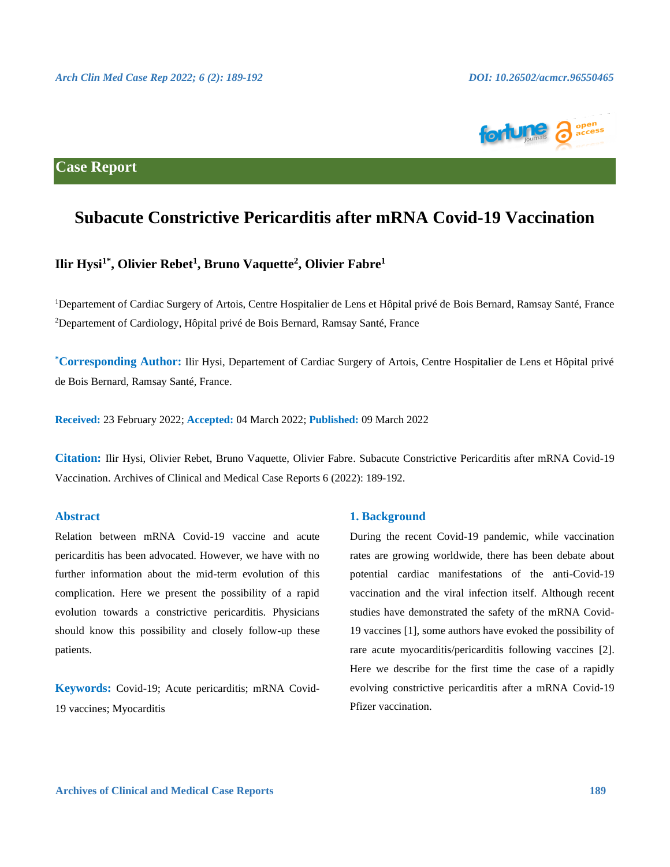

# **Case Report**

# **Subacute Constrictive Pericarditis after mRNA Covid-19 Vaccination**

## **Ilir Hysi1\* , Olivier Rebet<sup>1</sup> , Bruno Vaquette<sup>2</sup> , Olivier Fabre<sup>1</sup>**

<sup>1</sup>Departement of Cardiac Surgery of Artois, Centre Hospitalier de Lens et Hôpital privé de Bois Bernard, Ramsay Santé, France <sup>2</sup>Departement of Cardiology, Hôpital privé de Bois Bernard, Ramsay Santé, France

**\*Corresponding Author:** Ilir Hysi, Departement of Cardiac Surgery of Artois, Centre Hospitalier de Lens et Hôpital privé de Bois Bernard, Ramsay Santé, France.

**Received:** 23 February 2022; **Accepted:** 04 March 2022; **Published:** 09 March 2022

**Citation:** Ilir Hysi, Olivier Rebet, Bruno Vaquette, Olivier Fabre. Subacute Constrictive Pericarditis after mRNA Covid-19 Vaccination. Archives of Clinical and Medical Case Reports 6 (2022): 189-192.

#### **Abstract**

Relation between mRNA Covid-19 vaccine and acute pericarditis has been advocated. However, we have with no further information about the mid-term evolution of this complication. Here we present the possibility of a rapid evolution towards a constrictive pericarditis. Physicians should know this possibility and closely follow-up these patients.

**Keywords:** Covid-19; Acute pericarditis; mRNA Covid-19 vaccines; Myocarditis

#### **1. Background**

During the recent Covid-19 pandemic, while vaccination rates are growing worldwide, there has been debate about potential cardiac manifestations of the anti-Covid-19 vaccination and the viral infection itself. Although recent studies have demonstrated the safety of the mRNA Covid-19 vaccines [1], some authors have evoked the possibility of rare acute myocarditis/pericarditis following vaccines [2]. Here we describe for the first time the case of a rapidly evolving constrictive pericarditis after a mRNA Covid-19 Pfizer vaccination.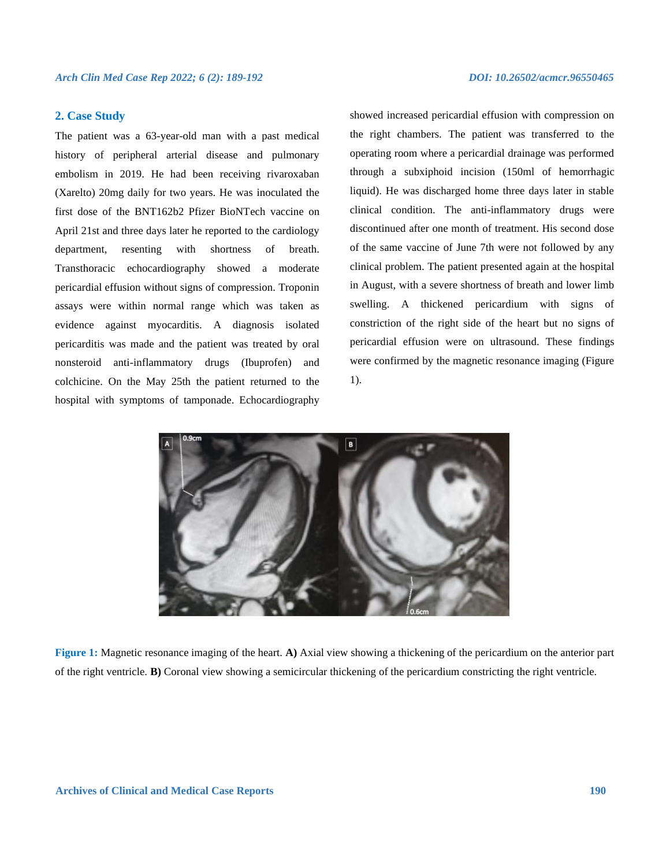#### **2. Case Study**

The patient was a 63-year-old man with a past medical history of peripheral arterial disease and pulmonary embolism in 2019. He had been receiving rivaroxaban (Xarelto) 20mg daily for two years. He was inoculated the first dose of the BNT162b2 Pfizer BioNTech vaccine on April 21st and three days later he reported to the cardiology department, resenting with shortness of breath. Transthoracic echocardiography showed a moderate pericardial effusion without signs of compression. Troponin assays were within normal range which was taken as evidence against myocarditis. A diagnosis isolated pericarditis was made and the patient was treated by oral nonsteroid anti-inflammatory drugs (Ibuprofen) and colchicine. On the May 25th the patient returned to the hospital with symptoms of tamponade. Echocardiography

showed increased pericardial effusion with compression on the right chambers. The patient was transferred to the operating room where a pericardial drainage was performed through a subxiphoid incision (150ml of hemorrhagic liquid). He was discharged home three days later in stable clinical condition. The anti-inflammatory drugs were discontinued after one month of treatment. His second dose of the same vaccine of June 7th were not followed by any clinical problem. The patient presented again at the hospital in August, with a severe shortness of breath and lower limb swelling. A thickened pericardium with signs of constriction of the right side of the heart but no signs of pericardial effusion were on ultrasound. These findings were confirmed by the magnetic resonance imaging (Figure 1).



**Figure 1:** Magnetic resonance imaging of the heart. **A)** Axial view showing a thickening of the pericardium on the anterior part of the right ventricle. **B)** Coronal view showing a semicircular thickening of the pericardium constricting the right ventricle.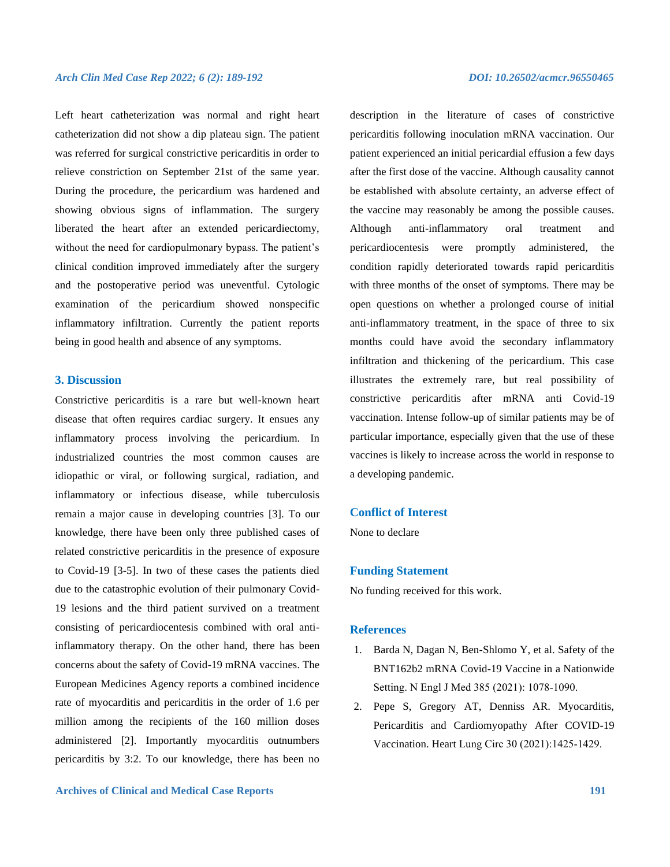Left heart catheterization was normal and right heart catheterization did not show a dip plateau sign. The patient was referred for surgical constrictive pericarditis in order to relieve constriction on September 21st of the same year. During the procedure, the pericardium was hardened and showing obvious signs of inflammation. The surgery liberated the heart after an extended pericardiectomy, without the need for cardiopulmonary bypass. The patient's clinical condition improved immediately after the surgery and the postoperative period was uneventful. Cytologic examination of the pericardium showed nonspecific inflammatory infiltration. Currently the patient reports being in good health and absence of any symptoms.

### **3. Discussion**

Constrictive pericarditis is a rare but well-known heart disease that often requires cardiac surgery. It ensues any inflammatory process involving the pericardium. In industrialized countries the most common causes are idiopathic or viral, or following surgical, radiation, and inflammatory or infectious disease, while tuberculosis remain a major cause in developing countries [3]. To our knowledge, there have been only three published cases of related constrictive pericarditis in the presence of exposure to Covid-19 [3-5]. In two of these cases the patients died due to the catastrophic evolution of their pulmonary Covid-19 lesions and the third patient survived on a treatment consisting of pericardiocentesis combined with oral antiinflammatory therapy. On the other hand, there has been concerns about the safety of Covid-19 mRNA vaccines. The European Medicines Agency reports a combined incidence rate of myocarditis and pericarditis in the order of 1.6 per million among the recipients of the 160 million doses administered [2]. Importantly myocarditis outnumbers pericarditis by 3:2. To our knowledge, there has been no description in the literature of cases of constrictive pericarditis following inoculation mRNA vaccination. Our patient experienced an initial pericardial effusion a few days after the first dose of the vaccine. Although causality cannot be established with absolute certainty, an adverse effect of the vaccine may reasonably be among the possible causes. Although anti-inflammatory oral treatment and pericardiocentesis were promptly administered, the condition rapidly deteriorated towards rapid pericarditis with three months of the onset of symptoms. There may be open questions on whether a prolonged course of initial anti-inflammatory treatment, in the space of three to six months could have avoid the secondary inflammatory infiltration and thickening of the pericardium. This case illustrates the extremely rare, but real possibility of constrictive pericarditis after mRNA anti Covid-19 vaccination. Intense follow-up of similar patients may be of particular importance, especially given that the use of these vaccines is likely to increase across the world in response to a developing pandemic.

### **Conflict of Interest**

None to declare

#### **Funding Statement**

No funding received for this work.

#### **References**

- 1. Barda N, Dagan N, Ben-Shlomo Y, et al. Safety of the BNT162b2 mRNA Covid-19 Vaccine in a Nationwide Setting. N Engl J Med 385 (2021): 1078‑1090.
- 2. Pepe S, Gregory AT, Denniss AR. Myocarditis, Pericarditis and Cardiomyopathy After COVID-19 Vaccination. Heart Lung Circ 30 (2021):1425‑1429.